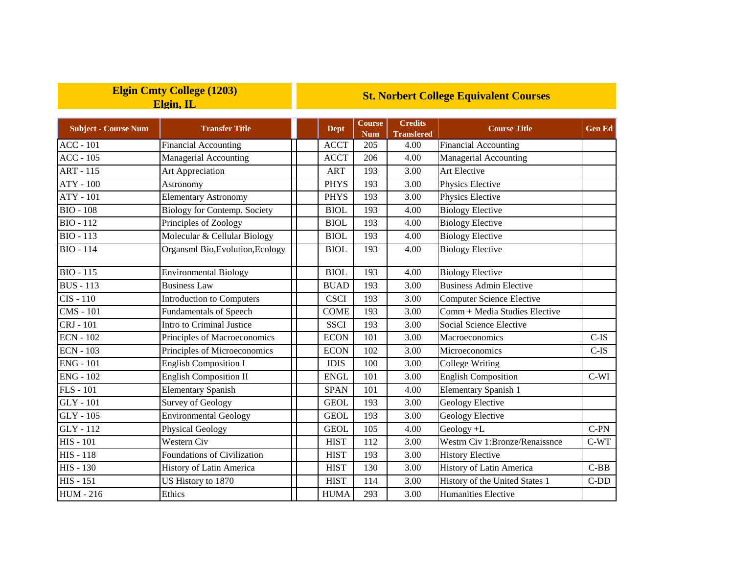| <b>Elgin Cmty College (1203)</b> |  |  |  |  |  |  |  |
|----------------------------------|--|--|--|--|--|--|--|
| Elgin, IL                        |  |  |  |  |  |  |  |

## **St. Norbert College Equivalent Courses**

| <b>Subject - Course Num</b> | <b>Transfer Title</b>               | <b>Dept</b> | <b>Course</b><br><b>Num</b> | <b>Credits</b><br><b>Transfered</b> | <b>Course Title</b>              | <b>Gen Ed</b> |
|-----------------------------|-------------------------------------|-------------|-----------------------------|-------------------------------------|----------------------------------|---------------|
| $ACC - 101$                 | <b>Financial Accounting</b>         | <b>ACCT</b> | 205                         | 4.00                                | <b>Financial Accounting</b>      |               |
| $ACC - 105$                 | Managerial Accounting               | <b>ACCT</b> | 206                         | 4.00                                | Managerial Accounting            |               |
| <b>ART - 115</b>            | Art Appreciation                    | <b>ART</b>  | 193                         | 3.00                                | <b>Art Elective</b>              |               |
| $ATY - 100$                 | Astronomy                           | <b>PHYS</b> | 193                         | 3.00                                | Physics Elective                 |               |
| <b>ATY - 101</b>            | <b>Elementary Astronomy</b>         | <b>PHYS</b> | 193                         | 3.00                                | Physics Elective                 |               |
| <b>BIO - 108</b>            | <b>Biology for Contemp. Society</b> | <b>BIOL</b> | 193                         | 4.00                                | <b>Biology Elective</b>          |               |
| <b>BIO-112</b>              | Principles of Zoology               | <b>BIOL</b> | 193                         | 4.00                                | <b>Biology Elective</b>          |               |
| <b>BIO - 113</b>            | Molecular & Cellular Biology        | <b>BIOL</b> | 193                         | 4.00                                | <b>Biology Elective</b>          |               |
| <b>BIO - 114</b>            | Organsml Bio, Evolution, Ecology    | <b>BIOL</b> | 193                         | 4.00                                | <b>Biology Elective</b>          |               |
| $BIO - 115$                 | <b>Environmental Biology</b>        | <b>BIOL</b> | 193                         | 4.00                                | <b>Biology Elective</b>          |               |
| <b>BUS</b> - 113            | <b>Business Law</b>                 | <b>BUAD</b> | 193                         | 3.00                                | <b>Business Admin Elective</b>   |               |
| $CIS - 110$                 | Introduction to Computers           | <b>CSCI</b> | 193                         | 3.00                                | <b>Computer Science Elective</b> |               |
| <b>CMS</b> - 101            | Fundamentals of Speech              | <b>COME</b> | 193                         | 3.00                                | Comm + Media Studies Elective    |               |
| CRJ - 101                   | Intro to Criminal Justice           | <b>SSCI</b> | 193                         | 3.00                                | Social Science Elective          |               |
| <b>ECN - 102</b>            | Principles of Macroeconomics        | <b>ECON</b> | 101                         | 3.00                                | Macroeconomics                   | $C-IS$        |
| <b>ECN - 103</b>            | Principles of Microeconomics        | <b>ECON</b> | 102                         | 3.00                                | Microeconomics                   | $C-IS$        |
| <b>ENG - 101</b>            | <b>English Composition I</b>        | <b>IDIS</b> | 100                         | 3.00                                | <b>College Writing</b>           |               |
| <b>ENG - 102</b>            | <b>English Composition II</b>       | <b>ENGL</b> | 101                         | 3.00                                | <b>English Composition</b>       | $C-WI$        |
| $FLS - 101$                 | <b>Elementary Spanish</b>           | <b>SPAN</b> | 101                         | 4.00                                | <b>Elementary Spanish 1</b>      |               |
| <b>GLY</b> - 101            | Survey of Geology                   | <b>GEOL</b> | 193                         | 3.00                                | Geology Elective                 |               |
| $GLY - 105$                 | <b>Environmental Geology</b>        | <b>GEOL</b> | 193                         | 3.00                                | Geology Elective                 |               |
| GLY - 112                   | Physical Geology                    | <b>GEOL</b> | 105                         | 4.00                                | Geology +L                       | $C-PN$        |
| <b>HIS - 101</b>            | <b>Western Civ</b>                  | <b>HIST</b> | 112                         | 3.00                                | Westrn Civ 1:Bronze/Renaissnce   | $C-WT$        |
| <b>HIS - 118</b>            | Foundations of Civilization         | <b>HIST</b> | 193                         | 3.00                                | <b>History Elective</b>          |               |
| <b>HIS - 130</b>            | History of Latin America            | <b>HIST</b> | 130                         | 3.00                                | History of Latin America         | $C-BB$        |
| <b>HIS - 151</b>            | US History to 1870                  | <b>HIST</b> | 114                         | 3.00                                | History of the United States 1   | $C-DD$        |
| <b>HUM - 216</b>            | Ethics                              | <b>HUMA</b> | 293                         | 3.00                                | Humanities Elective              |               |